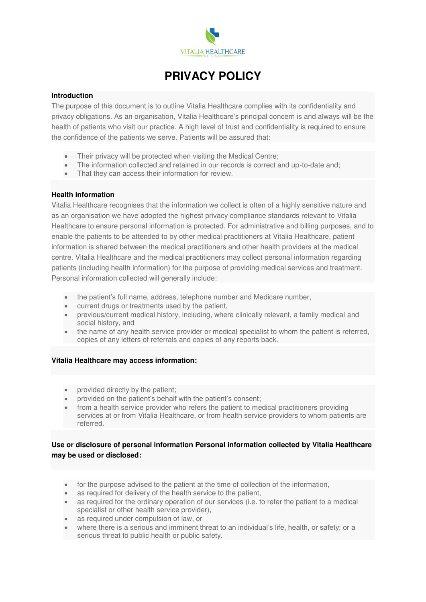

# **PRIVACY POLICY**

#### **Introduction**

The purpose of this document is to outline Vitalia Healthcare complies with its confidentiality and privacy obligations. As an organisation, Vitalia Healthcare's principal concern is and always will be the health of patients who visit our practice. A high level of trust and confidentiality is required to ensure the confidence of the patients we serve. Patients will be assured that:

- Their privacy will be protected when visiting the Medical Centre;
- The information collected and retained in our records is correct and up-to-date and;
- That they can access their information for review.

# **Health information**

Vitalia Healthcare recognises that the information we collect is often of a highly sensitive nature and as an organisation we have adopted the highest privacy compliance standards relevant to Vitalia Healthcare to ensure personal information is protected. For administrative and billing purposes, and to enable the patients to be attended to by other medical practitioners at Vitalia Healthcare, patient information is shared between the medical practitioners and other health providers at the medical centre. Vitalia Healthcare and the medical practitioners may collect personal information regarding patients (including health information) for the purpose of providing medical services and treatment. Personal information collected will generally include:

- the patient's full name, address, telephone number and Medicare number,
- current drugs or treatments used by the patient,
- previous/current medical history, including, where clinically relevant, a family medical and social history, and
- the name of any health service provider or medical specialist to whom the patient is referred, copies of any letters of referrals and copies of any reports back.

# **Vitalia Healthcare may access information:**

- provided directly by the patient;
- provided on the patient's behalf with the patient's consent;
- from a health service provider who refers the patient to medical practitioners providing services at or from Vitalia Healthcare, or from health service providers to whom patients are referred.

# **Use or disclosure of personal information Personal information collected by Vitalia Healthcare may be used or disclosed:**

- for the purpose advised to the patient at the time of collection of the information,
- as required for delivery of the health service to the patient,
- as required for the ordinary operation of our services (i.e. to refer the patient to a medical specialist or other health service provider),
- as required under compulsion of law, or
- where there is a serious and imminent threat to an individual's life, health, or safety; or a serious threat to public health or public safety.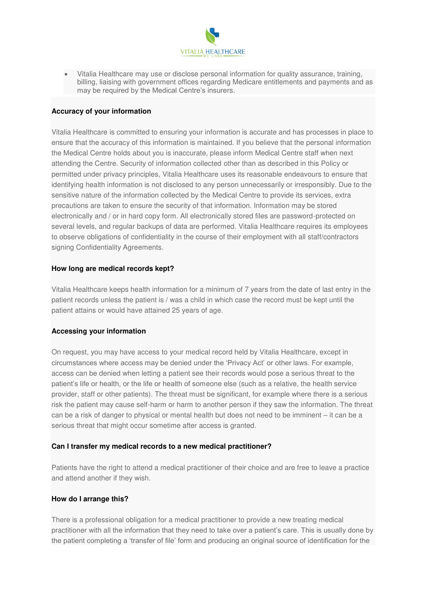

• Vitalia Healthcare may use or disclose personal information for quality assurance, training, billing, liaising with government offices regarding Medicare entitlements and payments and as may be required by the Medical Centre's insurers.

# **Accuracy of your information**

Vitalia Healthcare is committed to ensuring your information is accurate and has processes in place to ensure that the accuracy of this information is maintained. If you believe that the personal information the Medical Centre holds about you is inaccurate, please inform Medical Centre staff when next attending the Centre. Security of information collected other than as described in this Policy or permitted under privacy principles, Vitalia Healthcare uses its reasonable endeavours to ensure that identifying health information is not disclosed to any person unnecessarily or irresponsibly. Due to the sensitive nature of the information collected by the Medical Centre to provide its services, extra precautions are taken to ensure the security of that information. Information may be stored electronically and / or in hard copy form. All electronically stored files are password-protected on several levels, and regular backups of data are performed. Vitalia Healthcare requires its employees to observe obligations of confidentiality in the course of their employment with all staff/contractors signing Confidentiality Agreements.

# **How long are medical records kept?**

Vitalia Healthcare keeps health information for a minimum of 7 years from the date of last entry in the patient records unless the patient is / was a child in which case the record must be kept until the patient attains or would have attained 25 years of age.

# **Accessing your information**

On request, you may have access to your medical record held by Vitalia Healthcare, except in circumstances where access may be denied under the 'Privacy Act' or other laws. For example, access can be denied when letting a patient see their records would pose a serious threat to the patient's life or health, or the life or health of someone else (such as a relative, the health service provider, staff or other patients). The threat must be significant, for example where there is a serious risk the patient may cause self-harm or harm to another person if they saw the information. The threat can be a risk of danger to physical or mental health but does not need to be imminent – it can be a serious threat that might occur sometime after access is granted.

#### **Can I transfer my medical records to a new medical practitioner?**

Patients have the right to attend a medical practitioner of their choice and are free to leave a practice and attend another if they wish.

# **How do I arrange this?**

There is a professional obligation for a medical practitioner to provide a new treating medical practitioner with all the information that they need to take over a patient's care. This is usually done by the patient completing a 'transfer of file' form and producing an original source of identification for the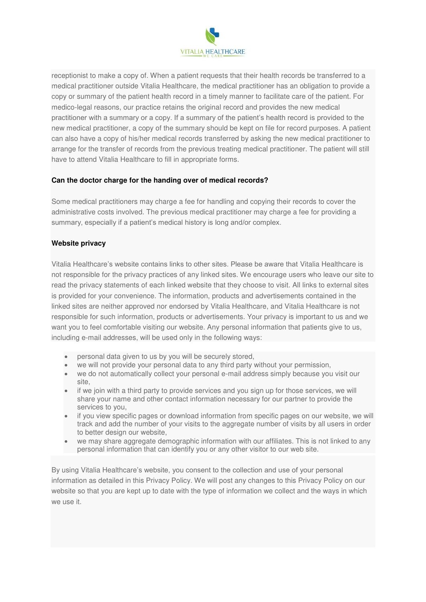

receptionist to make a copy of. When a patient requests that their health records be transferred to a medical practitioner outside Vitalia Healthcare, the medical practitioner has an obligation to provide a copy or summary of the patient health record in a timely manner to facilitate care of the patient. For medico-legal reasons, our practice retains the original record and provides the new medical practitioner with a summary or a copy. If a summary of the patient's health record is provided to the new medical practitioner, a copy of the summary should be kept on file for record purposes. A patient can also have a copy of his/her medical records transferred by asking the new medical practitioner to arrange for the transfer of records from the previous treating medical practitioner. The patient will still have to attend Vitalia Healthcare to fill in appropriate forms.

# **Can the doctor charge for the handing over of medical records?**

Some medical practitioners may charge a fee for handling and copying their records to cover the administrative costs involved. The previous medical practitioner may charge a fee for providing a summary, especially if a patient's medical history is long and/or complex.

# **Website privacy**

Vitalia Healthcare's website contains links to other sites. Please be aware that Vitalia Healthcare is not responsible for the privacy practices of any linked sites. We encourage users who leave our site to read the privacy statements of each linked website that they choose to visit. All links to external sites is provided for your convenience. The information, products and advertisements contained in the linked sites are neither approved nor endorsed by Vitalia Healthcare, and Vitalia Healthcare is not responsible for such information, products or advertisements. Your privacy is important to us and we want you to feel comfortable visiting our website. Any personal information that patients give to us, including e-mail addresses, will be used only in the following ways:

- personal data given to us by you will be securely stored,
- we will not provide your personal data to any third party without your permission,
- we do not automatically collect your personal e-mail address simply because you visit our site,
- if we join with a third party to provide services and you sign up for those services, we will share your name and other contact information necessary for our partner to provide the services to you,
- if you view specific pages or download information from specific pages on our website, we will track and add the number of your visits to the aggregate number of visits by all users in order to better design our website,
- we may share aggregate demographic information with our affiliates. This is not linked to any personal information that can identify you or any other visitor to our web site.

By using Vitalia Healthcare's website, you consent to the collection and use of your personal information as detailed in this Privacy Policy. We will post any changes to this Privacy Policy on our website so that you are kept up to date with the type of information we collect and the ways in which we use it.